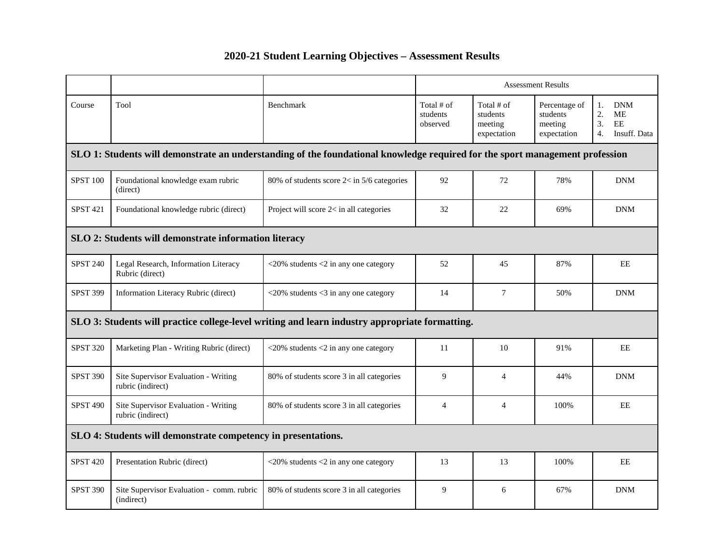# **2020-21 Student Learning Objectives – Assessment Results**

|                                                                                                |                                                                                                                              |                                                                 | <b>Assessment Results</b>          |                                                  |                                                     |                                                                              |
|------------------------------------------------------------------------------------------------|------------------------------------------------------------------------------------------------------------------------------|-----------------------------------------------------------------|------------------------------------|--------------------------------------------------|-----------------------------------------------------|------------------------------------------------------------------------------|
| Course                                                                                         | Tool                                                                                                                         | Benchmark                                                       | Total # of<br>students<br>observed | Total # of<br>students<br>meeting<br>expectation | Percentage of<br>students<br>meeting<br>expectation | <b>DNM</b><br>1.<br>2.<br>ME<br>3.<br>EE<br>Insuff. Data<br>$\overline{4}$ . |
|                                                                                                | SLO 1: Students will demonstrate an understanding of the foundational knowledge required for the sport management profession |                                                                 |                                    |                                                  |                                                     |                                                                              |
| <b>SPST 100</b>                                                                                | Foundational knowledge exam rubric<br>(direct)                                                                               | 80% of students score $2 <$ in 5/6 categories                   | 92                                 | 72                                               | 78%                                                 | <b>DNM</b>                                                                   |
| <b>SPST 421</b>                                                                                | Foundational knowledge rubric (direct)                                                                                       | Project will score 2< in all categories                         | 32                                 | 22                                               | 69%                                                 | <b>DNM</b>                                                                   |
| SLO 2: Students will demonstrate information literacy                                          |                                                                                                                              |                                                                 |                                    |                                                  |                                                     |                                                                              |
| <b>SPST 240</b>                                                                                | Legal Research, Information Literacy<br>Rubric (direct)                                                                      | $\langle 20\%$ students $\langle 2 \rangle$ in any one category | 52                                 | 45                                               | 87%                                                 | EE                                                                           |
| <b>SPST 399</b>                                                                                | Information Literacy Rubric (direct)                                                                                         | $\langle 20\%$ students $\langle 3 \rangle$ in any one category | 14                                 | $\tau$                                           | 50%                                                 | <b>DNM</b>                                                                   |
| SLO 3: Students will practice college-level writing and learn industry appropriate formatting. |                                                                                                                              |                                                                 |                                    |                                                  |                                                     |                                                                              |
| <b>SPST 320</b>                                                                                | Marketing Plan - Writing Rubric (direct)                                                                                     | $<$ 20% students $<$ 2 in any one category                      | 11                                 | 10                                               | 91%                                                 | EE                                                                           |
| <b>SPST 390</b>                                                                                | Site Supervisor Evaluation - Writing<br>rubric (indirect)                                                                    | 80% of students score 3 in all categories                       | 9                                  | $\overline{4}$                                   | 44%                                                 | <b>DNM</b>                                                                   |
| <b>SPST 490</b>                                                                                | Site Supervisor Evaluation - Writing<br>rubric (indirect)                                                                    | 80% of students score 3 in all categories                       | $\overline{4}$                     | $\overline{4}$                                   | 100%                                                | EE                                                                           |
| SLO 4: Students will demonstrate competency in presentations.                                  |                                                                                                                              |                                                                 |                                    |                                                  |                                                     |                                                                              |
| <b>SPST 420</b>                                                                                | Presentation Rubric (direct)                                                                                                 | $<$ 20% students $<$ 2 in any one category                      | 13                                 | 13                                               | 100%                                                | EE                                                                           |
| <b>SPST 390</b>                                                                                | Site Supervisor Evaluation - comm. rubric<br>(indirect)                                                                      | 80% of students score 3 in all categories                       | 9                                  | 6                                                | 67%                                                 | <b>DNM</b>                                                                   |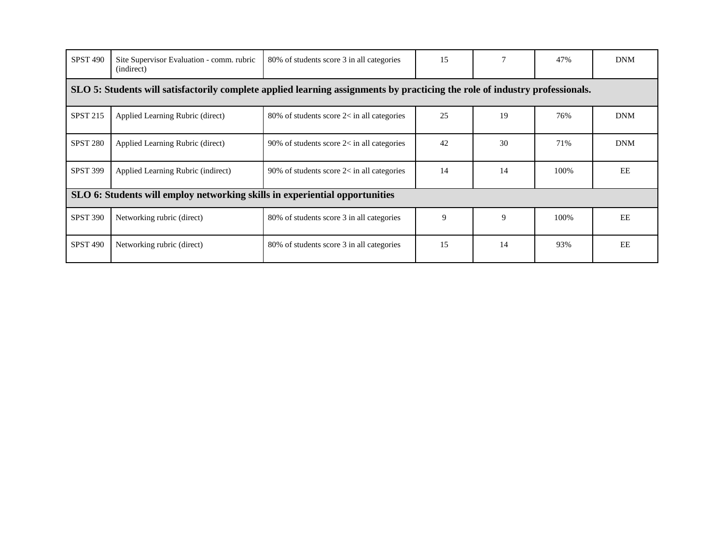| <b>SPST 490</b>                                                                                                             | Site Supervisor Evaluation - comm. rubric<br>(indirect) | 80% of students score 3 in all categories    | 15 |    | 47%   | <b>DNM</b> |
|-----------------------------------------------------------------------------------------------------------------------------|---------------------------------------------------------|----------------------------------------------|----|----|-------|------------|
| SLO 5: Students will satisfactorily complete applied learning assignments by practicing the role of industry professionals. |                                                         |                                              |    |    |       |            |
| <b>SPST 215</b>                                                                                                             | Applied Learning Rubric (direct)                        | 80% of students score $2<$ in all categories | 25 | 19 | 76%   | <b>DNM</b> |
| <b>SPST 280</b>                                                                                                             | Applied Learning Rubric (direct)                        | 90% of students score $2<$ in all categories | 42 | 30 | 71%   | <b>DNM</b> |
| <b>SPST 399</b>                                                                                                             | Applied Learning Rubric (indirect)                      | 90% of students score $2<$ in all categories | 14 | 14 | 100\% | EE         |
| SLO 6: Students will employ networking skills in experiential opportunities                                                 |                                                         |                                              |    |    |       |            |
| <b>SPST 390</b>                                                                                                             | Networking rubric (direct)                              | 80% of students score 3 in all categories    | 9  | 9  | 100%  | EE         |
| <b>SPST 490</b>                                                                                                             | Networking rubric (direct)                              | 80% of students score 3 in all categories    | 15 | 14 | 93%   | EE         |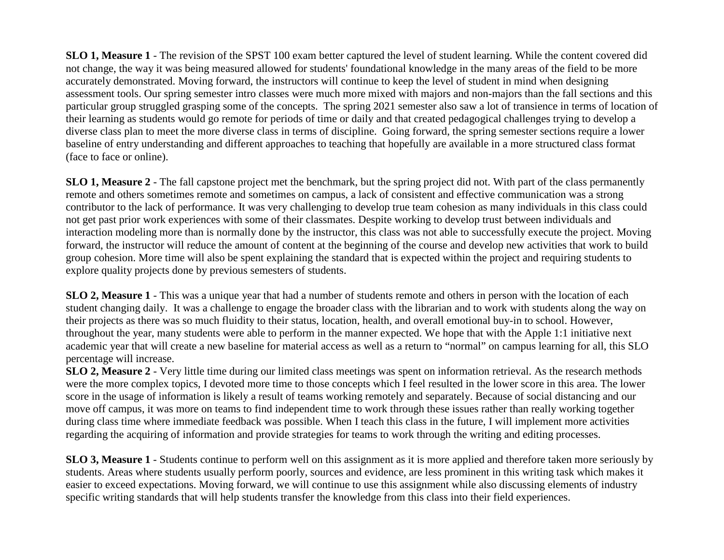**SLO 1, Measure 1** - The revision of the SPST 100 exam better captured the level of student learning. While the content covered did not change, the way it was being measured allowed for students' foundational knowledge in the many areas of the field to be more accurately demonstrated. Moving forward, the instructors will continue to keep the level of student in mind when designing assessment tools. Our spring semester intro classes were much more mixed with majors and non-majors than the fall sections and this particular group struggled grasping some of the concepts. The spring 2021 semester also saw a lot of transience in terms of location of their learning as students would go remote for periods of time or daily and that created pedagogical challenges trying to develop a diverse class plan to meet the more diverse class in terms of discipline. Going forward, the spring semester sections require a lower baseline of entry understanding and different approaches to teaching that hopefully are available in a more structured class format (face to face or online).

**SLO 1, Measure 2** - The fall capstone project met the benchmark, but the spring project did not. With part of the class permanently remote and others sometimes remote and sometimes on campus, a lack of consistent and effective communication was a strong contributor to the lack of performance. It was very challenging to develop true team cohesion as many individuals in this class could not get past prior work experiences with some of their classmates. Despite working to develop trust between individuals and interaction modeling more than is normally done by the instructor, this class was not able to successfully execute the project. Moving forward, the instructor will reduce the amount of content at the beginning of the course and develop new activities that work to build group cohesion. More time will also be spent explaining the standard that is expected within the project and requiring students to explore quality projects done by previous semesters of students.

**SLO 2, Measure 1** - This was a unique year that had a number of students remote and others in person with the location of each student changing daily. It was a challenge to engage the broader class with the librarian and to work with students along the way on their projects as there was so much fluidity to their status, location, health, and overall emotional buy-in to school. However, throughout the year, many students were able to perform in the manner expected. We hope that with the Apple 1:1 initiative next academic year that will create a new baseline for material access as well as a return to "normal" on campus learning for all, this SLO percentage will increase.

**SLO 2, Measure 2** - Very little time during our limited class meetings was spent on information retrieval. As the research methods were the more complex topics, I devoted more time to those concepts which I feel resulted in the lower score in this area. The lower score in the usage of information is likely a result of teams working remotely and separately. Because of social distancing and our move off campus, it was more on teams to find independent time to work through these issues rather than really working together during class time where immediate feedback was possible. When I teach this class in the future, I will implement more activities regarding the acquiring of information and provide strategies for teams to work through the writing and editing processes.

**SLO 3, Measure 1** - Students continue to perform well on this assignment as it is more applied and therefore taken more seriously by students. Areas where students usually perform poorly, sources and evidence, are less prominent in this writing task which makes it easier to exceed expectations. Moving forward, we will continue to use this assignment while also discussing elements of industry specific writing standards that will help students transfer the knowledge from this class into their field experiences.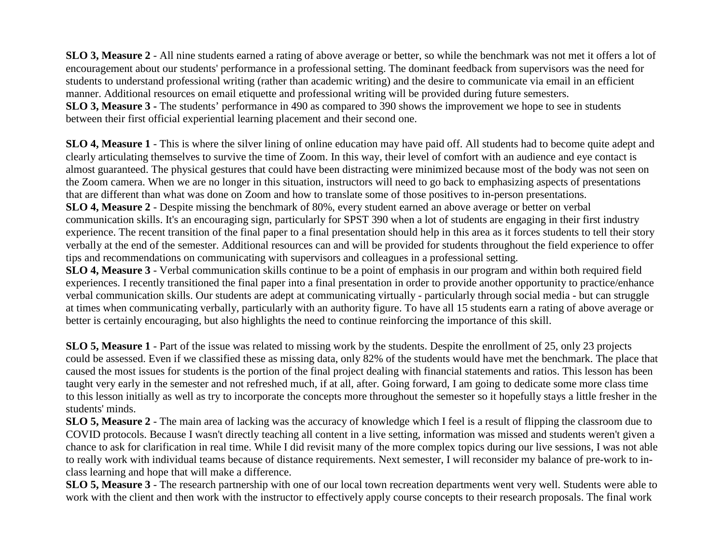**SLO 3, Measure 2** - All nine students earned a rating of above average or better, so while the benchmark was not met it offers a lot of encouragement about our students' performance in a professional setting. The dominant feedback from supervisors was the need for students to understand professional writing (rather than academic writing) and the desire to communicate via email in an efficient manner. Additional resources on email etiquette and professional writing will be provided during future semesters. **SLO 3, Measure 3 -** The students' performance in 490 as compared to 390 shows the improvement we hope to see in students between their first official experiential learning placement and their second one.

**SLO 4, Measure 1** - This is where the silver lining of online education may have paid off. All students had to become quite adept and clearly articulating themselves to survive the time of Zoom. In this way, their level of comfort with an audience and eye contact is almost guaranteed. The physical gestures that could have been distracting were minimized because most of the body was not seen on the Zoom camera. When we are no longer in this situation, instructors will need to go back to emphasizing aspects of presentations that are different than what was done on Zoom and how to translate some of those positives to in-person presentations. **SLO 4, Measure 2** - Despite missing the benchmark of 80%, every student earned an above average or better on verbal communication skills. It's an encouraging sign, particularly for SPST 390 when a lot of students are engaging in their first industry experience. The recent transition of the final paper to a final presentation should help in this area as it forces students to tell their story verbally at the end of the semester. Additional resources can and will be provided for students throughout the field experience to offer tips and recommendations on communicating with supervisors and colleagues in a professional setting.

**SLO 4, Measure 3** - Verbal communication skills continue to be a point of emphasis in our program and within both required field experiences. I recently transitioned the final paper into a final presentation in order to provide another opportunity to practice/enhance verbal communication skills. Our students are adept at communicating virtually - particularly through social media - but can struggle at times when communicating verbally, particularly with an authority figure. To have all 15 students earn a rating of above average or better is certainly encouraging, but also highlights the need to continue reinforcing the importance of this skill.

**SLO 5, Measure 1** - Part of the issue was related to missing work by the students. Despite the enrollment of 25, only 23 projects could be assessed. Even if we classified these as missing data, only 82% of the students would have met the benchmark. The place that caused the most issues for students is the portion of the final project dealing with financial statements and ratios. This lesson has been taught very early in the semester and not refreshed much, if at all, after. Going forward, I am going to dedicate some more class time to this lesson initially as well as try to incorporate the concepts more throughout the semester so it hopefully stays a little fresher in the students' minds.

**SLO 5, Measure 2** - The main area of lacking was the accuracy of knowledge which I feel is a result of flipping the classroom due to COVID protocols. Because I wasn't directly teaching all content in a live setting, information was missed and students weren't given a chance to ask for clarification in real time. While I did revisit many of the more complex topics during our live sessions, I was not able to really work with individual teams because of distance requirements. Next semester, I will reconsider my balance of pre-work to inclass learning and hope that will make a difference.

**SLO 5, Measure 3** - The research partnership with one of our local town recreation departments went very well. Students were able to work with the client and then work with the instructor to effectively apply course concepts to their research proposals. The final work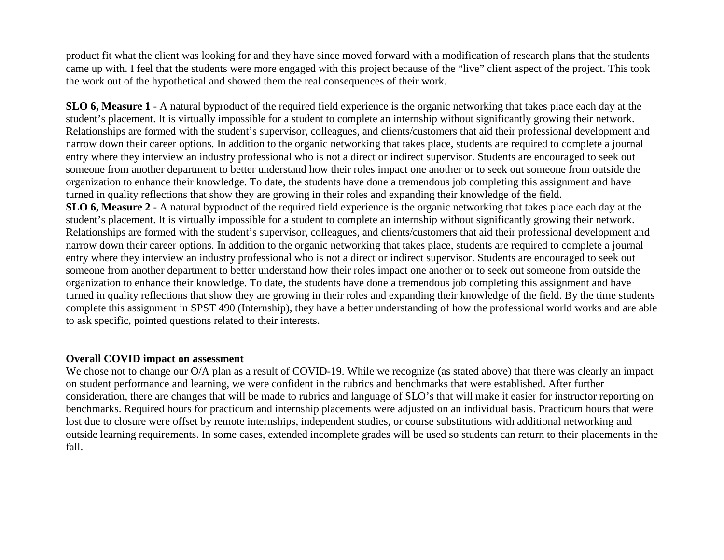product fit what the client was looking for and they have since moved forward with a modification of research plans that the students came up with. I feel that the students were more engaged with this project because of the "live" client aspect of the project. This took the work out of the hypothetical and showed them the real consequences of their work.

**SLO 6, Measure 1** - A natural byproduct of the required field experience is the organic networking that takes place each day at the student's placement. It is virtually impossible for a student to complete an internship without significantly growing their network. Relationships are formed with the student's supervisor, colleagues, and clients/customers that aid their professional development and narrow down their career options. In addition to the organic networking that takes place, students are required to complete a journal entry where they interview an industry professional who is not a direct or indirect supervisor. Students are encouraged to seek out someone from another department to better understand how their roles impact one another or to seek out someone from outside the organization to enhance their knowledge. To date, the students have done a tremendous job completing this assignment and have turned in quality reflections that show they are growing in their roles and expanding their knowledge of the field. **SLO 6, Measure 2** - A natural byproduct of the required field experience is the organic networking that takes place each day at the student's placement. It is virtually impossible for a student to complete an internship without significantly growing their network. Relationships are formed with the student's supervisor, colleagues, and clients/customers that aid their professional development and narrow down their career options. In addition to the organic networking that takes place, students are required to complete a journal entry where they interview an industry professional who is not a direct or indirect supervisor. Students are encouraged to seek out someone from another department to better understand how their roles impact one another or to seek out someone from outside the organization to enhance their knowledge. To date, the students have done a tremendous job completing this assignment and have turned in quality reflections that show they are growing in their roles and expanding their knowledge of the field. By the time students complete this assignment in SPST 490 (Internship), they have a better understanding of how the professional world works and are able to ask specific, pointed questions related to their interests.

### **Overall COVID impact on assessment**

We chose not to change our O/A plan as a result of COVID-19. While we recognize (as stated above) that there was clearly an impact on student performance and learning, we were confident in the rubrics and benchmarks that were established. After further consideration, there are changes that will be made to rubrics and language of SLO's that will make it easier for instructor reporting on benchmarks. Required hours for practicum and internship placements were adjusted on an individual basis. Practicum hours that were lost due to closure were offset by remote internships, independent studies, or course substitutions with additional networking and outside learning requirements. In some cases, extended incomplete grades will be used so students can return to their placements in the fall.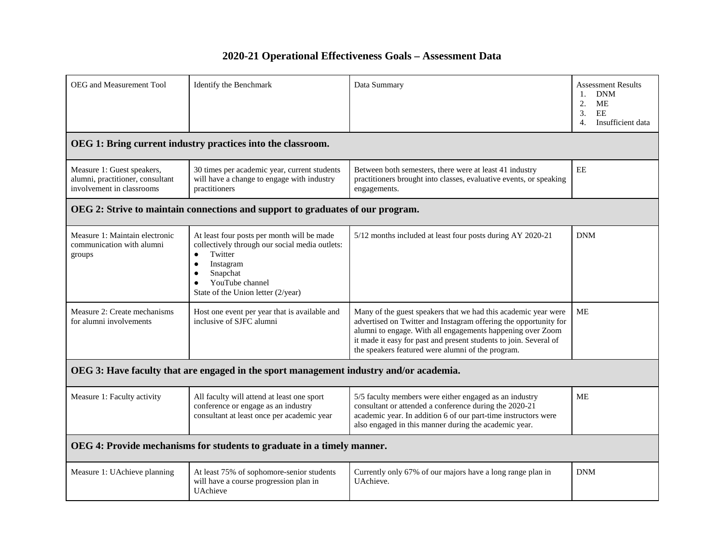### **2020-21 Operational Effectiveness Goals – Assessment Data**

| OEG and Measurement Tool                                                                    | Identify the Benchmark                                                                                                                                                                                                                                                                                                                                                         | Data Summary                                                                                                                                                                                                                                                                                                               | <b>Assessment Results</b><br><b>DNM</b><br>1.<br>2.<br>МE<br>EE<br>3.<br>$\overline{4}$ .<br>Insufficient data |  |
|---------------------------------------------------------------------------------------------|--------------------------------------------------------------------------------------------------------------------------------------------------------------------------------------------------------------------------------------------------------------------------------------------------------------------------------------------------------------------------------|----------------------------------------------------------------------------------------------------------------------------------------------------------------------------------------------------------------------------------------------------------------------------------------------------------------------------|----------------------------------------------------------------------------------------------------------------|--|
|                                                                                             | OEG 1: Bring current industry practices into the classroom.                                                                                                                                                                                                                                                                                                                    |                                                                                                                                                                                                                                                                                                                            |                                                                                                                |  |
| Measure 1: Guest speakers,<br>alumni, practitioner, consultant<br>involvement in classrooms | 30 times per academic year, current students<br>will have a change to engage with industry<br>practitioners                                                                                                                                                                                                                                                                    | Between both semesters, there were at least 41 industry<br>practitioners brought into classes, evaluative events, or speaking<br>engagements.                                                                                                                                                                              | $\rm{EE}$                                                                                                      |  |
| OEG 2: Strive to maintain connections and support to graduates of our program.              |                                                                                                                                                                                                                                                                                                                                                                                |                                                                                                                                                                                                                                                                                                                            |                                                                                                                |  |
| Measure 1: Maintain electronic<br>communication with alumni<br>groups                       | At least four posts per month will be made<br>collectively through our social media outlets:<br>Twitter<br>$\bullet$<br>Instagram<br>$\bullet$<br>Snapchat<br>YouTube channel<br>$\bullet$<br>State of the Union letter (2/year)                                                                                                                                               | 5/12 months included at least four posts during AY 2020-21                                                                                                                                                                                                                                                                 | <b>DNM</b>                                                                                                     |  |
| Measure 2: Create mechanisms<br>for alumni involvements                                     | Host one event per year that is available and<br>inclusive of SJFC alumni                                                                                                                                                                                                                                                                                                      | Many of the guest speakers that we had this academic year were<br>advertised on Twitter and Instagram offering the opportunity for<br>alumni to engage. With all engagements happening over Zoom<br>it made it easy for past and present students to join. Several of<br>the speakers featured were alumni of the program. | MЕ                                                                                                             |  |
| OEG 3: Have faculty that are engaged in the sport management industry and/or academia.      |                                                                                                                                                                                                                                                                                                                                                                                |                                                                                                                                                                                                                                                                                                                            |                                                                                                                |  |
| Measure 1: Faculty activity                                                                 | All faculty will attend at least one sport<br>5/5 faculty members were either engaged as an industry<br>consultant or attended a conference during the 2020-21<br>conference or engage as an industry<br>academic year. In addition 6 of our part-time instructors were<br>consultant at least once per academic year<br>also engaged in this manner during the academic year. |                                                                                                                                                                                                                                                                                                                            | <b>ME</b>                                                                                                      |  |
| OEG 4: Provide mechanisms for students to graduate in a timely manner.                      |                                                                                                                                                                                                                                                                                                                                                                                |                                                                                                                                                                                                                                                                                                                            |                                                                                                                |  |
| Measure 1: UAchieve planning                                                                | At least 75% of sophomore-senior students<br>will have a course progression plan in<br><b>UAchieve</b>                                                                                                                                                                                                                                                                         | Currently only 67% of our majors have a long range plan in<br><b>DNM</b><br>UAchieve.                                                                                                                                                                                                                                      |                                                                                                                |  |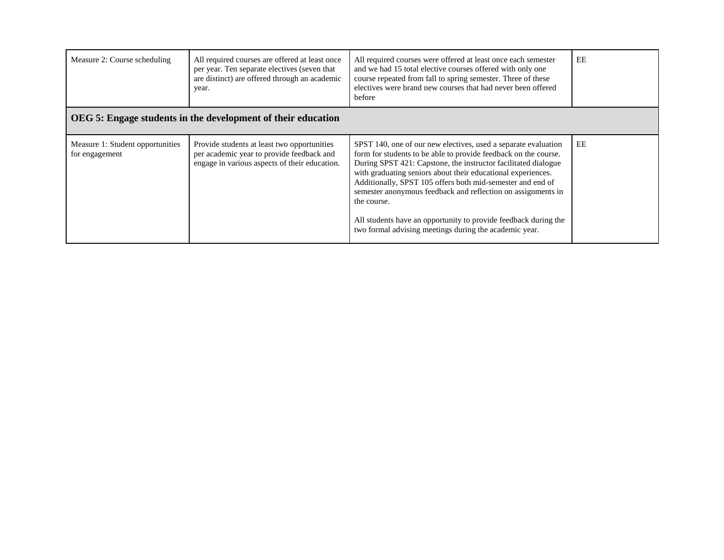| Measure 2: Course scheduling                                 | All required courses are offered at least once<br>per year. Ten separate electives (seven that<br>are distinct) are offered through an academic<br>year. | All required courses were offered at least once each semester<br>and we had 15 total elective courses offered with only one<br>course repeated from fall to spring semester. Three of these<br>electives were brand new courses that had never been offered<br>before                                                                                                                                                                                                                                                                         | EE |  |  |
|--------------------------------------------------------------|----------------------------------------------------------------------------------------------------------------------------------------------------------|-----------------------------------------------------------------------------------------------------------------------------------------------------------------------------------------------------------------------------------------------------------------------------------------------------------------------------------------------------------------------------------------------------------------------------------------------------------------------------------------------------------------------------------------------|----|--|--|
| OEG 5: Engage students in the development of their education |                                                                                                                                                          |                                                                                                                                                                                                                                                                                                                                                                                                                                                                                                                                               |    |  |  |
| Measure 1: Student opportunities<br>for engagement           | Provide students at least two opportunities<br>per academic year to provide feedback and<br>engage in various aspects of their education.                | SPST 140, one of our new electives, used a separate evaluation<br>form for students to be able to provide feedback on the course.<br>During SPST 421: Capstone, the instructor facilitated dialogue<br>with graduating seniors about their educational experiences.<br>Additionally, SPST 105 offers both mid-semester and end of<br>semester anonymous feedback and reflection on assignments in<br>the course.<br>All students have an opportunity to provide feedback during the<br>two formal advising meetings during the academic year. | EE |  |  |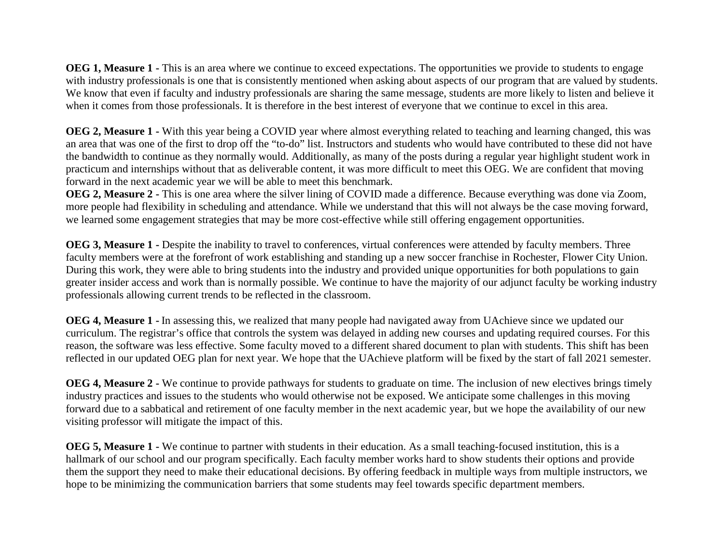**OEG 1, Measure 1 -** This is an area where we continue to exceed expectations. The opportunities we provide to students to engage with industry professionals is one that is consistently mentioned when asking about aspects of our program that are valued by students. We know that even if faculty and industry professionals are sharing the same message, students are more likely to listen and believe it when it comes from those professionals. It is therefore in the best interest of everyone that we continue to excel in this area.

**OEG 2, Measure 1 -** With this year being a COVID year where almost everything related to teaching and learning changed, this was an area that was one of the first to drop off the "to-do" list. Instructors and students who would have contributed to these did not have the bandwidth to continue as they normally would. Additionally, as many of the posts during a regular year highlight student work in practicum and internships without that as deliverable content, it was more difficult to meet this OEG. We are confident that moving forward in the next academic year we will be able to meet this benchmark.

**OEG 2, Measure 2 -** This is one area where the silver lining of COVID made a difference. Because everything was done via Zoom, more people had flexibility in scheduling and attendance. While we understand that this will not always be the case moving forward, we learned some engagement strategies that may be more cost-effective while still offering engagement opportunities.

**OEG 3, Measure 1** - Despite the inability to travel to conferences, virtual conferences were attended by faculty members. Three faculty members were at the forefront of work establishing and standing up a new soccer franchise in Rochester, Flower City Union. During this work, they were able to bring students into the industry and provided unique opportunities for both populations to gain greater insider access and work than is normally possible. We continue to have the majority of our adjunct faculty be working industry professionals allowing current trends to be reflected in the classroom.

**OEG 4, Measure 1 -** In assessing this, we realized that many people had navigated away from UAchieve since we updated our curriculum. The registrar's office that controls the system was delayed in adding new courses and updating required courses. For this reason, the software was less effective. Some faculty moved to a different shared document to plan with students. This shift has been reflected in our updated OEG plan for next year. We hope that the UAchieve platform will be fixed by the start of fall 2021 semester.

**OEG 4, Measure 2 -** We continue to provide pathways for students to graduate on time. The inclusion of new electives brings timely industry practices and issues to the students who would otherwise not be exposed. We anticipate some challenges in this moving forward due to a sabbatical and retirement of one faculty member in the next academic year, but we hope the availability of our new visiting professor will mitigate the impact of this.

**OEG 5, Measure 1 -** We continue to partner with students in their education. As a small teaching-focused institution, this is a hallmark of our school and our program specifically. Each faculty member works hard to show students their options and provide them the support they need to make their educational decisions. By offering feedback in multiple ways from multiple instructors, we hope to be minimizing the communication barriers that some students may feel towards specific department members.